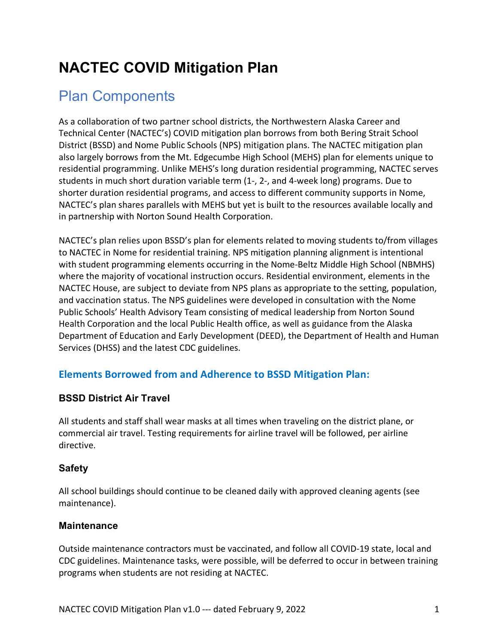# **NACTEC COVID Mitigation Plan**

# Plan Components

As a collaboration of two partner school districts, the Northwestern Alaska Career and Technical Center (NACTEC's) COVID mitigation plan borrows from both Bering Strait School District (BSSD) and Nome Public Schools (NPS) mitigation plans. The NACTEC mitigation plan also largely borrows from the Mt. Edgecumbe High School (MEHS) plan for elements unique to residential programming. Unlike MEHS's long duration residential programming, NACTEC serves students in much short duration variable term (1-, 2-, and 4-week long) programs. Due to shorter duration residential programs, and access to different community supports in Nome, NACTEC's plan shares parallels with MEHS but yet is built to the resources available locally and in partnership with Norton Sound Health Corporation.

NACTEC's plan relies upon BSSD's plan for elements related to moving students to/from villages to NACTEC in Nome for residential training. NPS mitigation planning alignment is intentional with student programming elements occurring in the Nome-Beltz Middle High School (NBMHS) where the majority of vocational instruction occurs. Residential environment, elements in the NACTEC House, are subject to deviate from NPS plans as appropriate to the setting, population, and vaccination status. The NPS guidelines were developed in consultation with the Nome Public Schools' Health Advisory Team consisting of medical leadership from Norton Sound Health Corporation and the local Public Health office, as well as guidance from the Alaska Department of Education and Early Development (DEED), the Department of Health and Human Services (DHSS) and the latest CDC guidelines.

## **Elements Borrowed from and Adherence to BSSD Mitigation Plan:**

## **BSSD District Air Travel**

All students and staff shall wear masks at all times when traveling on the district plane, or commercial air travel. Testing requirements for airline travel will be followed, per airline directive.

## **Safety**

All school buildings should continue to be cleaned daily with approved cleaning agents (see maintenance).

## **Maintenance**

Outside maintenance contractors must be vaccinated, and follow all COVID-19 state, local and CDC guidelines. Maintenance tasks, were possible, will be deferred to occur in between training programs when students are not residing at NACTEC.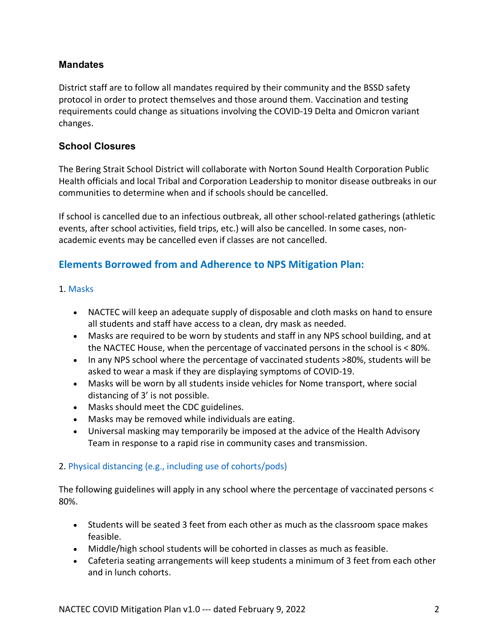## **Mandates**

District staff are to follow all mandates required by their community and the BSSD safety protocol in order to protect themselves and those around them. Vaccination and testing requirements could change as situations involving the COVID-19 Delta and Omicron variant changes.

## **School Closures**

The Bering Strait School District will collaborate with Norton Sound Health Corporation Public Health officials and local Tribal and Corporation Leadership to monitor disease outbreaks in our communities to determine when and if schools should be cancelled.

If school is cancelled due to an infectious outbreak, all other school-related gatherings (athletic events, after school activities, field trips, etc.) will also be cancelled. In some cases, nonacademic events may be cancelled even if classes are not cancelled.

## **Elements Borrowed from and Adherence to NPS Mitigation Plan:**

### 1. Masks

- NACTEC will keep an adequate supply of disposable and cloth masks on hand to ensure all students and staff have access to a clean, dry mask as needed.
- Masks are required to be worn by students and staff in any NPS school building, and at the NACTEC House, when the percentage of vaccinated persons in the school is < 80%.
- In any NPS school where the percentage of vaccinated students >80%, students will be asked to wear a mask if they are displaying symptoms of COVID-19.
- Masks will be worn by all students inside vehicles for Nome transport, where social distancing of 3' is not possible.
- Masks should meet the CDC guidelines.
- Masks may be removed while individuals are eating.
- Universal masking may temporarily be imposed at the advice of the Health Advisory Team in response to a rapid rise in community cases and transmission.

## 2. Physical distancing (e.g., including use of cohorts/pods)

The following guidelines will apply in any school where the percentage of vaccinated persons < 80%.

- Students will be seated 3 feet from each other as much as the classroom space makes feasible.
- Middle/high school students will be cohorted in classes as much as feasible.
- Cafeteria seating arrangements will keep students a minimum of 3 feet from each other and in lunch cohorts.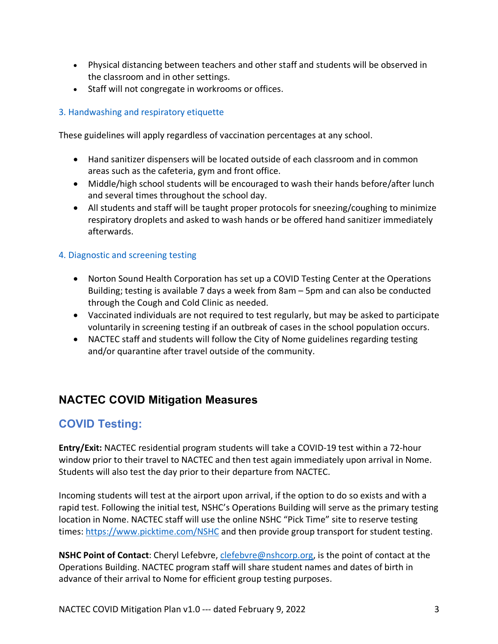- Physical distancing between teachers and other staff and students will be observed in the classroom and in other settings.
- Staff will not congregate in workrooms or offices.

## 3. Handwashing and respiratory etiquette

These guidelines will apply regardless of vaccination percentages at any school.

- Hand sanitizer dispensers will be located outside of each classroom and in common areas such as the cafeteria, gym and front office.
- Middle/high school students will be encouraged to wash their hands before/after lunch and several times throughout the school day.
- All students and staff will be taught proper protocols for sneezing/coughing to minimize respiratory droplets and asked to wash hands or be offered hand sanitizer immediately afterwards.

## 4. Diagnostic and screening testing

- Norton Sound Health Corporation has set up a COVID Testing Center at the Operations Building; testing is available 7 days a week from 8am – 5pm and can also be conducted through the Cough and Cold Clinic as needed.
- Vaccinated individuals are not required to test regularly, but may be asked to participate voluntarily in screening testing if an outbreak of cases in the school population occurs.
- NACTEC staff and students will follow the City of Nome guidelines regarding testing and/or quarantine after travel outside of the community.

## **NACTEC COVID Mitigation Measures**

## **COVID Testing:**

**Entry/Exit:** NACTEC residential program students will take a COVID-19 test within a 72-hour window prior to their travel to NACTEC and then test again immediately upon arrival in Nome. Students will also test the day prior to their departure from NACTEC.

Incoming students will test at the airport upon arrival, if the option to do so exists and with a rapid test. Following the initial test, NSHC's Operations Building will serve as the primary testing location in Nome. NACTEC staff will use the online NSHC "Pick Time" site to reserve testing times: https://www.picktime.com/NSHC and then provide group transport for student testing.

**NSHC Point of Contact**: Cheryl Lefebvre, clefebvre@nshcorp.org, is the point of contact at the Operations Building. NACTEC program staff will share student names and dates of birth in advance of their arrival to Nome for efficient group testing purposes.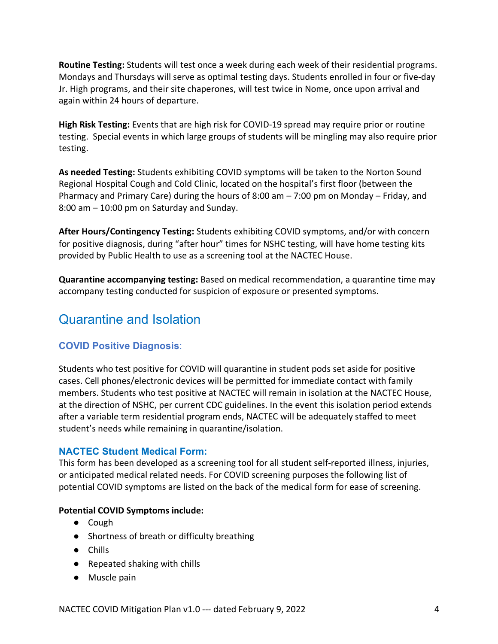**Routine Testing:** Students will test once a week during each week of their residential programs. Mondays and Thursdays will serve as optimal testing days. Students enrolled in four or five-day Jr. High programs, and their site chaperones, will test twice in Nome, once upon arrival and again within 24 hours of departure.

**High Risk Testing:** Events that are high risk for COVID-19 spread may require prior or routine testing. Special events in which large groups of students will be mingling may also require prior testing.

**As needed Testing:** Students exhibiting COVID symptoms will be taken to the Norton Sound Regional Hospital Cough and Cold Clinic, located on the hospital's first floor (between the Pharmacy and Primary Care) during the hours of 8:00 am – 7:00 pm on Monday – Friday, and 8:00 am – 10:00 pm on Saturday and Sunday.

**After Hours/Contingency Testing:** Students exhibiting COVID symptoms, and/or with concern for positive diagnosis, during "after hour" times for NSHC testing, will have home testing kits provided by Public Health to use as a screening tool at the NACTEC House.

**Quarantine accompanying testing:** Based on medical recommendation, a quarantine time may accompany testing conducted for suspicion of exposure or presented symptoms.

## Quarantine and Isolation

## **COVID Positive Diagnosis**:

Students who test positive for COVID will quarantine in student pods set aside for positive cases. Cell phones/electronic devices will be permitted for immediate contact with family members. Students who test positive at NACTEC will remain in isolation at the NACTEC House, at the direction of NSHC, per current CDC guidelines. In the event this isolation period extends after a variable term residential program ends, NACTEC will be adequately staffed to meet student's needs while remaining in quarantine/isolation.

## **NACTEC Student Medical Form:**

This form has been developed as a screening tool for all student self-reported illness, injuries, or anticipated medical related needs. For COVID screening purposes the following list of potential COVID symptoms are listed on the back of the medical form for ease of screening.

#### **Potential COVID Symptoms include:**

- Cough
- Shortness of breath or difficulty breathing
- Chills
- Repeated shaking with chills
- Muscle pain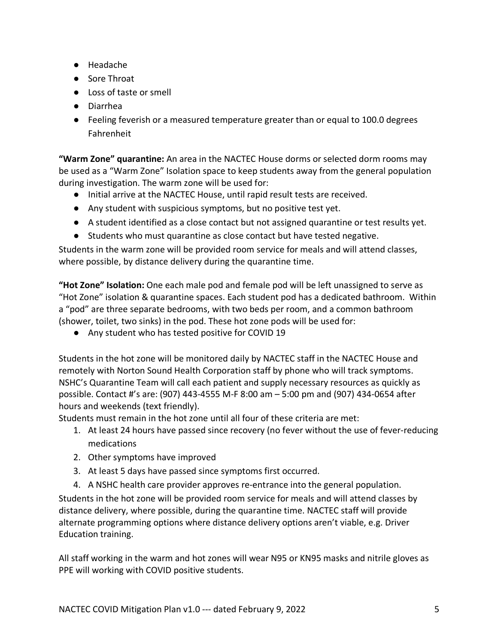- Headache
- Sore Throat
- Loss of taste or smell
- Diarrhea
- Feeling feverish or a measured temperature greater than or equal to 100.0 degrees Fahrenheit

**"Warm Zone" quarantine:** An area in the NACTEC House dorms or selected dorm rooms may be used as a "Warm Zone" Isolation space to keep students away from the general population during investigation. The warm zone will be used for:

- Initial arrive at the NACTEC House, until rapid result tests are received.
- Any student with suspicious symptoms, but no positive test yet.
- A student identified as a close contact but not assigned quarantine or test results yet.
- Students who must quarantine as close contact but have tested negative.

Students in the warm zone will be provided room service for meals and will attend classes, where possible, by distance delivery during the quarantine time.

**"Hot Zone" Isolation:** One each male pod and female pod will be left unassigned to serve as "Hot Zone" isolation & quarantine spaces. Each student pod has a dedicated bathroom. Within a "pod" are three separate bedrooms, with two beds per room, and a common bathroom (shower, toilet, two sinks) in the pod. These hot zone pods will be used for:

● Any student who has tested positive for COVID 19

Students in the hot zone will be monitored daily by NACTEC staff in the NACTEC House and remotely with Norton Sound Health Corporation staff by phone who will track symptoms. NSHC's Quarantine Team will call each patient and supply necessary resources as quickly as possible. Contact #'s are: (907) 443-4555 M-F 8:00 am – 5:00 pm and (907) 434-0654 after hours and weekends (text friendly).

Students must remain in the hot zone until all four of these criteria are met:

- 1. At least 24 hours have passed since recovery (no fever without the use of fever-reducing medications
- 2. Other symptoms have improved
- 3. At least 5 days have passed since symptoms first occurred.
- 4. A NSHC health care provider approves re-entrance into the general population.

Students in the hot zone will be provided room service for meals and will attend classes by distance delivery, where possible, during the quarantine time. NACTEC staff will provide alternate programming options where distance delivery options aren't viable, e.g. Driver Education training.

All staff working in the warm and hot zones will wear N95 or KN95 masks and nitrile gloves as PPE will working with COVID positive students.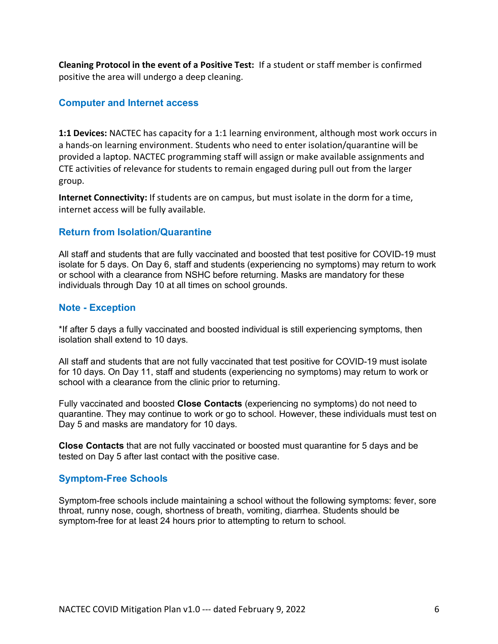**Cleaning Protocol in the event of a Positive Test:** If a student or staff member is confirmed positive the area will undergo a deep cleaning.

### **Computer and Internet access**

**1:1 Devices:** NACTEC has capacity for a 1:1 learning environment, although most work occurs in a hands-on learning environment. Students who need to enter isolation/quarantine will be provided a laptop. NACTEC programming staff will assign or make available assignments and CTE activities of relevance for students to remain engaged during pull out from the larger group.

**Internet Connectivity:** If students are on campus, but must isolate in the dorm for a time, internet access will be fully available.

### **Return from Isolation/Quarantine**

All staff and students that are fully vaccinated and boosted that test positive for COVID-19 must isolate for 5 days. On Day 6, staff and students (experiencing no symptoms) may return to work or school with a clearance from NSHC before returning. Masks are mandatory for these individuals through Day 10 at all times on school grounds.

### **Note - Exception**

\*If after 5 days a fully vaccinated and boosted individual is still experiencing symptoms, then isolation shall extend to 10 days.

All staff and students that are not fully vaccinated that test positive for COVID-19 must isolate for 10 days. On Day 11, staff and students (experiencing no symptoms) may return to work or school with a clearance from the clinic prior to returning.

Fully vaccinated and boosted **Close Contacts** (experiencing no symptoms) do not need to quarantine. They may continue to work or go to school. However, these individuals must test on Day 5 and masks are mandatory for 10 days.

**Close Contacts** that are not fully vaccinated or boosted must quarantine for 5 days and be tested on Day 5 after last contact with the positive case.

## **Symptom-Free Schools**

Symptom-free schools include maintaining a school without the following symptoms: fever, sore throat, runny nose, cough, shortness of breath, vomiting, diarrhea. Students should be symptom-free for at least 24 hours prior to attempting to return to school.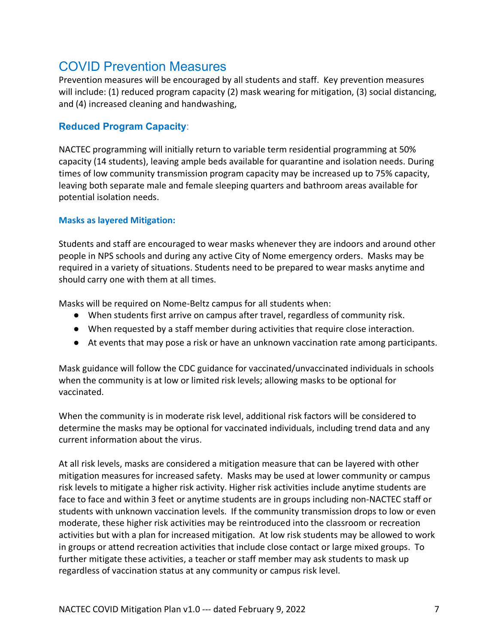## COVID Prevention Measures

Prevention measures will be encouraged by all students and staff. Key prevention measures will include: (1) reduced program capacity (2) mask wearing for mitigation, (3) social distancing, and (4) increased cleaning and handwashing,

## **Reduced Program Capacity**:

NACTEC programming will initially return to variable term residential programming at 50% capacity (14 students), leaving ample beds available for quarantine and isolation needs. During times of low community transmission program capacity may be increased up to 75% capacity, leaving both separate male and female sleeping quarters and bathroom areas available for potential isolation needs.

### **Masks as layered Mitigation:**

Students and staff are encouraged to wear masks whenever they are indoors and around other people in NPS schools and during any active City of Nome emergency orders. Masks may be required in a variety of situations. Students need to be prepared to wear masks anytime and should carry one with them at all times.

Masks will be required on Nome-Beltz campus for all students when:

- When students first arrive on campus after travel, regardless of community risk.
- When requested by a staff member during activities that require close interaction.
- At events that may pose a risk or have an unknown vaccination rate among participants.

Mask guidance will follow the CDC guidance for vaccinated/unvaccinated individuals in schools when the community is at low or limited risk levels; allowing masks to be optional for vaccinated.

When the community is in moderate risk level, additional risk factors will be considered to determine the masks may be optional for vaccinated individuals, including trend data and any current information about the virus.

At all risk levels, masks are considered a mitigation measure that can be layered with other mitigation measures for increased safety. Masks may be used at lower community or campus risk levels to mitigate a higher risk activity. Higher risk activities include anytime students are face to face and within 3 feet or anytime students are in groups including non-NACTEC staff or students with unknown vaccination levels. If the community transmission drops to low or even moderate, these higher risk activities may be reintroduced into the classroom or recreation activities but with a plan for increased mitigation. At low risk students may be allowed to work in groups or attend recreation activities that include close contact or large mixed groups. To further mitigate these activities, a teacher or staff member may ask students to mask up regardless of vaccination status at any community or campus risk level.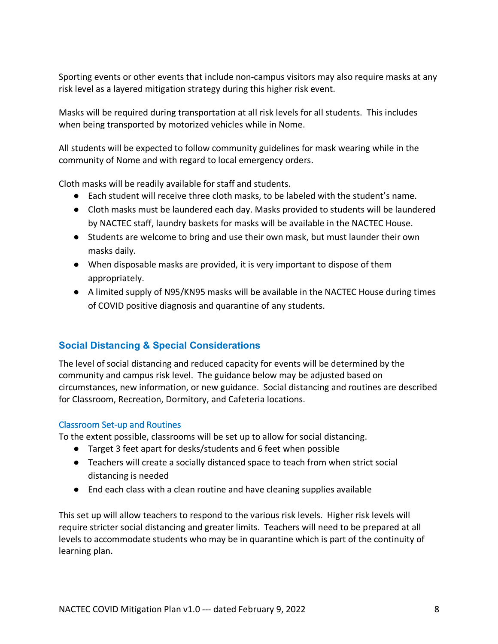Sporting events or other events that include non-campus visitors may also require masks at any risk level as a layered mitigation strategy during this higher risk event.

Masks will be required during transportation at all risk levels for all students. This includes when being transported by motorized vehicles while in Nome.

All students will be expected to follow community guidelines for mask wearing while in the community of Nome and with regard to local emergency orders.

Cloth masks will be readily available for staff and students.

- Each student will receive three cloth masks, to be labeled with the student's name.
- Cloth masks must be laundered each day. Masks provided to students will be laundered by NACTEC staff, laundry baskets for masks will be available in the NACTEC House.
- Students are welcome to bring and use their own mask, but must launder their own masks daily.
- When disposable masks are provided, it is very important to dispose of them appropriately.
- A limited supply of N95/KN95 masks will be available in the NACTEC House during times of COVID positive diagnosis and quarantine of any students.

## **Social Distancing & Special Considerations**

The level of social distancing and reduced capacity for events will be determined by the community and campus risk level. The guidance below may be adjusted based on circumstances, new information, or new guidance. Social distancing and routines are described for Classroom, Recreation, Dormitory, and Cafeteria locations.

## Classroom Set-up and Routines

To the extent possible, classrooms will be set up to allow for social distancing.

- Target 3 feet apart for desks/students and 6 feet when possible
- Teachers will create a socially distanced space to teach from when strict social distancing is needed
- End each class with a clean routine and have cleaning supplies available

This set up will allow teachers to respond to the various risk levels. Higher risk levels will require stricter social distancing and greater limits. Teachers will need to be prepared at all levels to accommodate students who may be in quarantine which is part of the continuity of learning plan.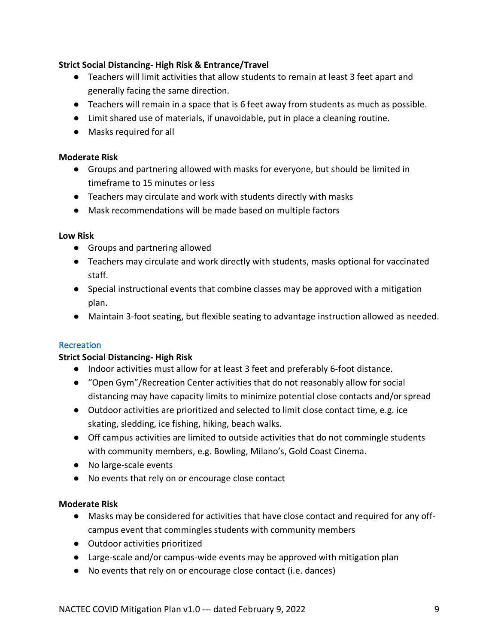## **Strict Social Distancing- High Risk & Entrance/Travel**

- Teachers will limit activities that allow students to remain at least 3 feet apart and generally facing the same direction.
- Teachers will remain in a space that is 6 feet away from students as much as possible.
- Limit shared use of materials, if unavoidable, put in place a cleaning routine.
- Masks required for all

## **Moderate Risk**

- Groups and partnering allowed with masks for everyone, but should be limited in timeframe to 15 minutes or less
- Teachers may circulate and work with students directly with masks
- Mask recommendations will be made based on multiple factors

### **Low Risk**

- Groups and partnering allowed
- Teachers may circulate and work directly with students, masks optional for vaccinated staff.
- Special instructional events that combine classes may be approved with a mitigation plan.
- Maintain 3-foot seating, but flexible seating to advantage instruction allowed as needed.

## **Recreation**

## **Strict Social Distancing- High Risk**

- Indoor activities must allow for at least 3 feet and preferably 6-foot distance.
- "Open Gym"/Recreation Center activities that do not reasonably allow for social distancing may have capacity limits to minimize potential close contacts and/or spread
- Outdoor activities are prioritized and selected to limit close contact time, e.g. ice skating, sledding, ice fishing, hiking, beach walks.
- Off campus activities are limited to outside activities that do not commingle students with community members, e.g. Bowling, Milano's, Gold Coast Cinema.
- No large-scale events
- No events that rely on or encourage close contact

## **Moderate Risk**

- Masks may be considered for activities that have close contact and required for any offcampus event that commingles students with community members
- Outdoor activities prioritized
- Large-scale and/or campus-wide events may be approved with mitigation plan
- No events that rely on or encourage close contact (i.e. dances)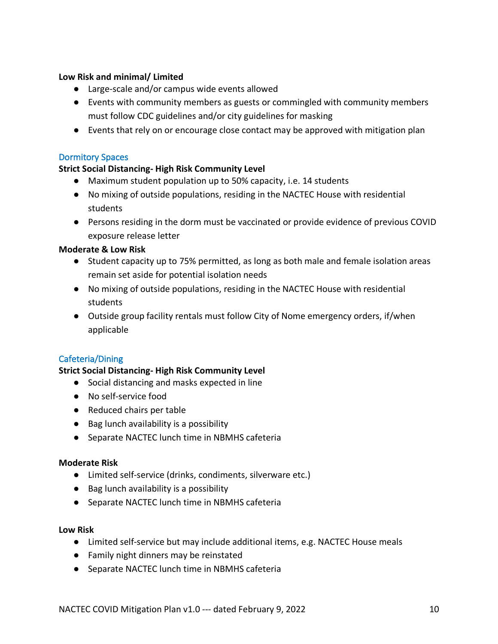### **Low Risk and minimal/ Limited**

- Large-scale and/or campus wide events allowed
- Events with community members as guests or commingled with community members must follow CDC guidelines and/or city guidelines for masking
- Events that rely on or encourage close contact may be approved with mitigation plan

### Dormitory Spaces

### **Strict Social Distancing- High Risk Community Level**

- Maximum student population up to 50% capacity, i.e. 14 students
- No mixing of outside populations, residing in the NACTEC House with residential students
- Persons residing in the dorm must be vaccinated or provide evidence of previous COVID exposure release letter

#### **Moderate & Low Risk**

- Student capacity up to 75% permitted, as long as both male and female isolation areas remain set aside for potential isolation needs
- No mixing of outside populations, residing in the NACTEC House with residential students
- Outside group facility rentals must follow City of Nome emergency orders, if/when applicable

## Cafeteria/Dining

#### **Strict Social Distancing- High Risk Community Level**

- Social distancing and masks expected in line
- No self-service food
- Reduced chairs per table
- Bag lunch availability is a possibility
- Separate NACTEC lunch time in NBMHS cafeteria

#### **Moderate Risk**

- Limited self-service (drinks, condiments, silverware etc.)
- Bag lunch availability is a possibility
- Separate NACTEC lunch time in NBMHS cafeteria

#### **Low Risk**

- Limited self-service but may include additional items, e.g. NACTEC House meals
- Family night dinners may be reinstated
- Separate NACTEC lunch time in NBMHS cafeteria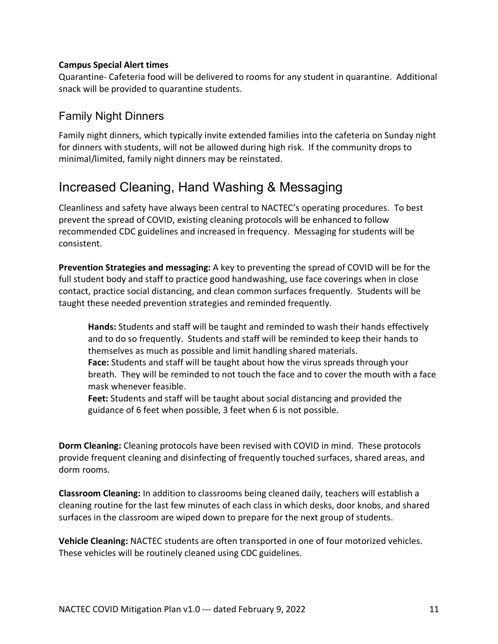#### **Campus Special Alert times**

Quarantine- Cafeteria food will be delivered to rooms for any student in quarantine. Additional snack will be provided to quarantine students.

## Family Night Dinners

Family night dinners, which typically invite extended families into the cafeteria on Sunday night for dinners with students, will not be allowed during high risk. If the community drops to minimal/limited, family night dinners may be reinstated.

## Increased Cleaning, Hand Washing & Messaging

Cleanliness and safety have always been central to NACTEC's operating procedures. To best prevent the spread of COVID, existing cleaning protocols will be enhanced to follow recommended CDC guidelines and increased in frequency. Messaging for students will be consistent.

**Prevention Strategies and messaging:** A key to preventing the spread of COVID will be for the full student body and staff to practice good handwashing, use face coverings when in close contact, practice social distancing, and clean common surfaces frequently. Students will be taught these needed prevention strategies and reminded frequently.

**Hands:** Students and staff will be taught and reminded to wash their hands effectively and to do so frequently. Students and staff will be reminded to keep their hands to themselves as much as possible and limit handling shared materials.

**Face:** Students and staff will be taught about how the virus spreads through your breath. They will be reminded to not touch the face and to cover the mouth with a face mask whenever feasible.

**Feet:** Students and staff will be taught about social distancing and provided the guidance of 6 feet when possible, 3 feet when 6 is not possible.

**Dorm Cleaning:** Cleaning protocols have been revised with COVID in mind. These protocols provide frequent cleaning and disinfecting of frequently touched surfaces, shared areas, and dorm rooms.

**Classroom Cleaning:** In addition to classrooms being cleaned daily, teachers will establish a cleaning routine for the last few minutes of each class in which desks, door knobs, and shared surfaces in the classroom are wiped down to prepare for the next group of students.

**Vehicle Cleaning:** NACTEC students are often transported in one of four motorized vehicles. These vehicles will be routinely cleaned using CDC guidelines.